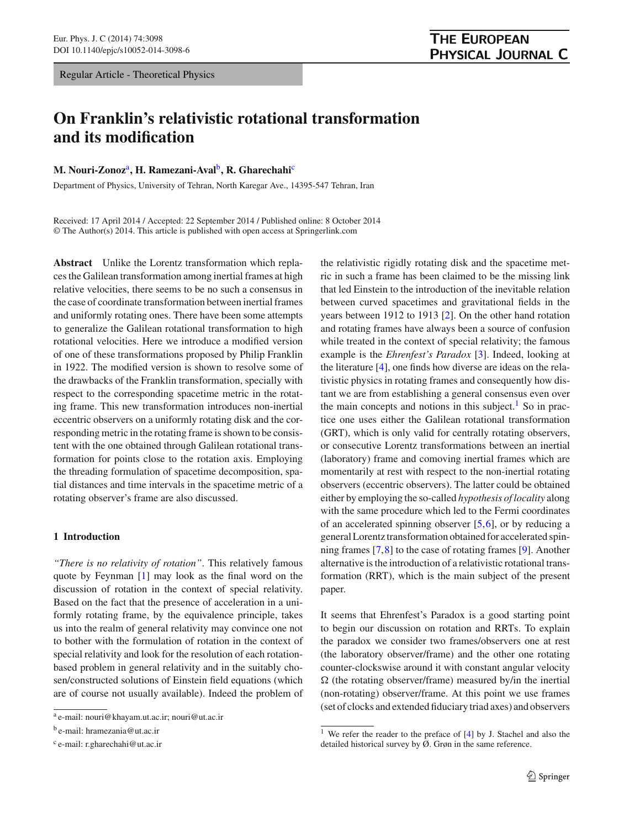# **On Franklin's relativistic rotational transformation and its modification**

# **M. Nouri-Zonoz**a**, H. Ramezani-Aval**b**, R. Gharechahi**<sup>c</sup>

Department of Physics, University of Tehran, North Karegar Ave., 14395-547 Tehran, Iran

Received: 17 April 2014 / Accepted: 22 September 2014 / Published online: 8 October 2014 © The Author(s) 2014. This article is published with open access at Springerlink.com

**Abstract** Unlike the Lorentz transformation which replaces the Galilean transformation among inertial frames at high relative velocities, there seems to be no such a consensus in the case of coordinate transformation between inertial frames and uniformly rotating ones. There have been some attempts to generalize the Galilean rotational transformation to high rotational velocities. Here we introduce a modified version of one of these transformations proposed by Philip Franklin in 1922. The modified version is shown to resolve some of the drawbacks of the Franklin transformation, specially with respect to the corresponding spacetime metric in the rotating frame. This new transformation introduces non-inertial eccentric observers on a uniformly rotating disk and the corresponding metric in the rotating frame is shown to be consistent with the one obtained through Galilean rotational transformation for points close to the rotation axis. Employing the threading formulation of spacetime decomposition, spatial distances and time intervals in the spacetime metric of a rotating observer's frame are also discussed.

# **1 Introduction**

*"There is no relativity of rotation"*. This relatively famous quote by Feynman [\[1\]](#page-13-0) may look as the final word on the discussion of rotation in the context of special relativity. Based on the fact that the presence of acceleration in a uniformly rotating frame, by the equivalence principle, takes us into the realm of general relativity may convince one not to bother with the formulation of rotation in the context of special relativity and look for the resolution of each rotationbased problem in general relativity and in the suitably chosen/constructed solutions of Einstein field equations (which are of course not usually available). Indeed the problem of the relativistic rigidly rotating disk and the spacetime metric in such a frame has been claimed to be the missing link that led Einstein to the introduction of the inevitable relation between curved spacetimes and gravitational fields in the years between 1912 to 1913 [\[2\]](#page-13-1). On the other hand rotation and rotating frames have always been a source of confusion while treated in the context of special relativity; the famous example is the *Ehrenfest's Paradox* [\[3](#page-13-2)]. Indeed, looking at the literature [\[4\]](#page-13-3), one finds how diverse are ideas on the relativistic physics in rotating frames and consequently how distant we are from establishing a general consensus even over the main concepts and notions in this subject.<sup>[1](#page-0-0)</sup> So in practice one uses either the Galilean rotational transformation (GRT), which is only valid for centrally rotating observers, or consecutive Lorentz transformations between an inertial (laboratory) frame and comoving inertial frames which are momentarily at rest with respect to the non-inertial rotating observers (eccentric observers). The latter could be obtained either by employing the so-called *hypothesis of locality* along with the same procedure which led to the Fermi coordinates of an accelerated spinning observer [\[5,](#page-13-4)[6\]](#page-13-5), or by reducing a general Lorentz transformation obtained for accelerated spinning frames [\[7](#page-13-6)[,8](#page-13-7)] to the case of rotating frames [\[9](#page-13-8)]. Another alternative is the introduction of a relativistic rotational transformation (RRT), which is the main subject of the present paper.

It seems that Ehrenfest's Paradox is a good starting point to begin our discussion on rotation and RRTs. To explain the paradox we consider two frames/observers one at rest (the laboratory observer/frame) and the other one rotating counter-clockswise around it with constant angular velocity  $\Omega$  (the rotating observer/frame) measured by/in the inertial (non-rotating) observer/frame. At this point we use frames (set of clocks and extended fiduciary triad axes) and observers

<sup>a</sup> e-mail: nouri@khayam.ut.ac.ir; nouri@ut.ac.ir

<sup>b</sup> e-mail: hramezania@ut.ac.ir

 $c$  e-mail: r.gharechahi@ut.ac.ir

<span id="page-0-0"></span><sup>&</sup>lt;sup>1</sup> We refer the reader to the preface of  $[4]$  by J. Stachel and also the detailed historical survey by Ø. Grøn in the same reference.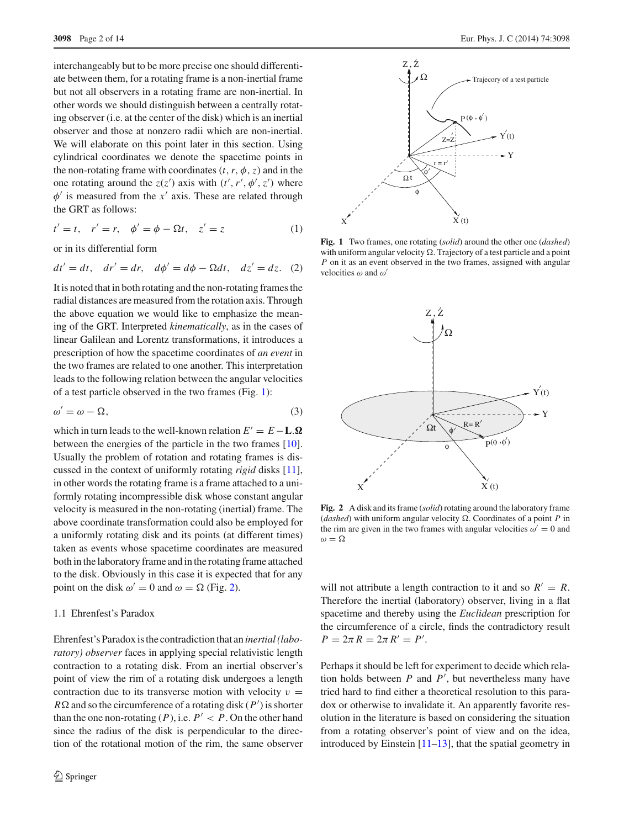interchangeably but to be more precise one should differentiate between them, for a rotating frame is a non-inertial frame but not all observers in a rotating frame are non-inertial. In other words we should distinguish between a centrally rotating observer (i.e. at the center of the disk) which is an inertial observer and those at nonzero radii which are non-inertial. We will elaborate on this point later in this section. Using cylindrical coordinates we denote the spacetime points in the non-rotating frame with coordinates  $(t, r, \phi, z)$  and in the one rotating around the  $z(z')$  axis with  $(t', r', \phi', z')$  where  $\phi'$  is measured from the  $x'$  axis. These are related through the GRT as follows:

<span id="page-1-3"></span>
$$
t' = t, \quad r' = r, \quad \phi' = \phi - \Omega t, \quad z' = z \tag{1}
$$

or in its differential form

<span id="page-1-2"></span>
$$
dt' = dt, \quad dr' = dr, \quad d\phi' = d\phi - \Omega dt, \quad dz' = dz. \tag{2}
$$

It is noted that in both rotating and the non-rotating frames the radial distances are measured from the rotation axis. Through the above equation we would like to emphasize the meaning of the GRT. Interpreted *kinematically*, as in the cases of linear Galilean and Lorentz transformations, it introduces a prescription of how the spacetime coordinates of *an event* in the two frames are related to one another. This interpretation leads to the following relation between the angular velocities of a test particle observed in the two frames (Fig. [1\)](#page-1-0):

<span id="page-1-4"></span>
$$
\omega' = \omega - \Omega,\tag{3}
$$

which in turn leads to the well-known relation  $E' = E - L \cdot \Omega$ between the energies of the particle in the two frames [\[10](#page-13-10)]. Usually the problem of rotation and rotating frames is discussed in the context of uniformly rotating *rigid* disks [\[11](#page-13-11)], in other words the rotating frame is a frame attached to a uniformly rotating incompressible disk whose constant angular velocity is measured in the non-rotating (inertial) frame. The above coordinate transformation could also be employed for a uniformly rotating disk and its points (at different times) taken as events whose spacetime coordinates are measured both in the laboratory frame and in the rotating frame attached to the disk. Obviously in this case it is expected that for any point on the disk  $\omega' = 0$  and  $\omega = \Omega$  (Fig. [2\)](#page-1-1).

## 1.1 Ehrenfest's Paradox

Ehrenfest's Paradox is the contradiction that an *inertial (laboratory) observer* faces in applying special relativistic length contraction to a rotating disk. From an inertial observer's point of view the rim of a rotating disk undergoes a length contraction due to its transverse motion with velocity  $v =$  $R\Omega$  and so the circumference of a rotating disk ( $P'$ ) is shorter than the one non-rotating  $(P)$ , i.e.  $P' < P$ . On the other hand since the radius of the disk is perpendicular to the direction of the rotational motion of the rim, the same observer



<span id="page-1-0"></span>**Fig. 1** Two frames, one rotating (*solid*) around the other one (*dashed*) with uniform angular velocity  $\Omega$ . Trajectory of a test particle and a point *P* on it as an event observed in the two frames, assigned with angular velocities  $\omega$  and  $\omega'$ 



<span id="page-1-1"></span>**Fig. 2** A disk and its frame (*solid*) rotating around the laboratory frame (*dashed*) with uniform angular velocity  $\Omega$ . Coordinates of a point *P* in the rim are given in the two frames with angular velocities  $\omega' = 0$  and  $\omega = \Omega$ 

will not attribute a length contraction to it and so  $R' = R$ . Therefore the inertial (laboratory) observer, living in a flat spacetime and thereby using the *Euclidean* prescription for the circumference of a circle, finds the contradictory result  $P = 2\pi R = 2\pi R' = P'.$ 

Perhaps it should be left for experiment to decide which relation holds between  $P$  and  $P'$ , but nevertheless many have tried hard to find either a theoretical resolution to this paradox or otherwise to invalidate it. An apparently favorite resolution in the literature is based on considering the situation from a rotating observer's point of view and on the idea, introduced by Einstein [\[11](#page-13-11)[–13](#page-13-12)], that the spatial geometry in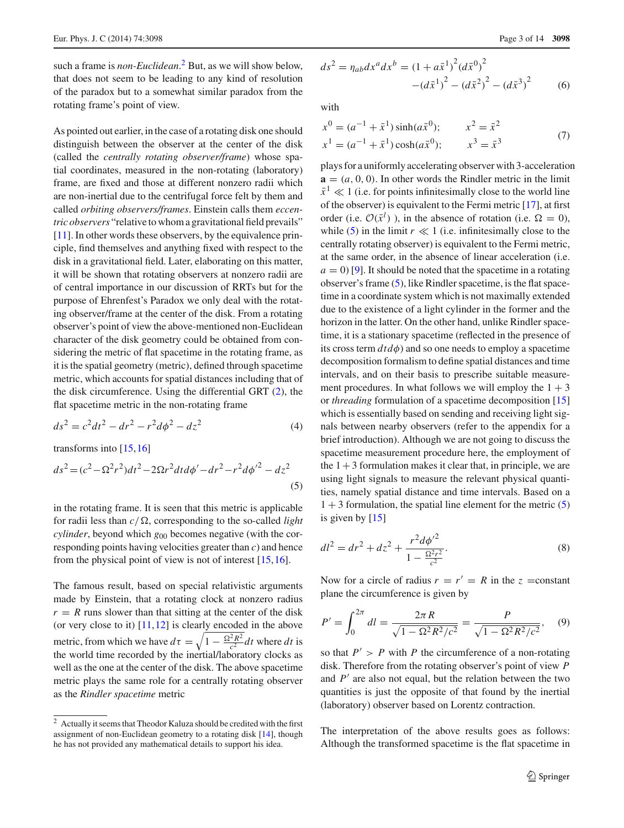such a frame is *non-Euclidean*. [2](#page-2-0) But, as we will show below, that does not seem to be leading to any kind of resolution of the paradox but to a somewhat similar paradox from the rotating frame's point of view.

As pointed out earlier, in the case of a rotating disk one should distinguish between the observer at the center of the disk (called the *centrally rotating observer/frame*) whose spatial coordinates, measured in the non-rotating (laboratory) frame, are fixed and those at different nonzero radii which are non-inertial due to the centrifugal force felt by them and called *orbiting observers/frames*. Einstein calls them *eccentric observers* "relative to whom a gravitational field prevails" [\[11](#page-13-11)]. In other words these observers, by the equivalence principle, find themselves and anything fixed with respect to the disk in a gravitational field. Later, elaborating on this matter, it will be shown that rotating observers at nonzero radii are of central importance in our discussion of RRTs but for the purpose of Ehrenfest's Paradox we only deal with the rotating observer/frame at the center of the disk. From a rotating observer's point of view the above-mentioned non-Euclidean character of the disk geometry could be obtained from considering the metric of flat spacetime in the rotating frame, as it is the spatial geometry (metric), defined through spacetime metric, which accounts for spatial distances including that of the disk circumference. Using the differential GRT [\(2\)](#page-1-2), the flat spacetime metric in the non-rotating frame

<span id="page-2-3"></span>
$$
ds^2 = c^2 dt^2 - dr^2 - r^2 d\phi^2 - dz^2
$$
 (4)

transforms into  $[15,16]$  $[15,16]$  $[15,16]$ 

<span id="page-2-1"></span>
$$
ds^{2} = (c^{2} - \Omega^{2} r^{2})dt^{2} - 2\Omega r^{2}dt d\phi' - dr^{2} - r^{2}d\phi'^{2} - dz^{2}
$$
\n(5)

in the rotating frame. It is seen that this metric is applicable for radii less than  $c/\Omega$ , corresponding to the so-called *light cylinder*, beyond which  $g_{00}$  becomes negative (with the corresponding points having velocities greater than *c*) and hence from the physical point of view is not of interest [\[15](#page-13-13)[,16](#page-13-14)].

The famous result, based on special relativistic arguments made by Einstein, that a rotating clock at nonzero radius  $r = R$  runs slower than that sitting at the center of the disk (or very close to it)  $[11, 12]$  $[11, 12]$  is clearly encoded in the above metric, from which we have  $d\tau = \sqrt{1 - \frac{\Omega^2 R^2}{c^2}} dt$  where *dt* is the world time recorded by the inertial/laboratory clocks as well as the one at the center of the disk. The above spacetime metric plays the same role for a centrally rotating observer as the *Rindler spacetime* metric

<span id="page-2-5"></span>
$$
ds^{2} = \eta_{ab}dx^{a}dx^{b} = (1 + a\bar{x}^{1})^{2}(d\bar{x}^{0})^{2}
$$

$$
-(d\bar{x}^{1})^{2} - (d\bar{x}^{2})^{2} - (d\bar{x}^{3})^{2}
$$
(6)

with

$$
x^{0} = (a^{-1} + \bar{x}^{1}) \sinh(a\bar{x}^{0}); \t x^{2} = \bar{x}^{2}
$$
  
\n
$$
x^{1} = (a^{-1} + \bar{x}^{1}) \cosh(a\bar{x}^{0}); \t x^{3} = \bar{x}^{3}
$$
\n(7)

plays for a uniformly accelerating observer with 3-acceleration  $\mathbf{a} = (a, 0, 0)$ . In other words the Rindler metric in the limit  $\bar{x}$ <sup>1</sup>  $\ll$  1 (i.e. for points infinitesimally close to the world line of the observer) is equivalent to the Fermi metric [\[17\]](#page-13-17), at first order (i.e.  $\mathcal{O}(\bar{x}^l)$ ), in the absence of rotation (i.e.  $\Omega = 0$ ), while [\(5\)](#page-2-1) in the limit  $r \ll 1$  (i.e. infinitesimally close to the centrally rotating observer) is equivalent to the Fermi metric, at the same order, in the absence of linear acceleration (i.e.  $a = 0$  [\[9\]](#page-13-8). It should be noted that the spacetime in a rotating observer's frame [\(5\)](#page-2-1), like Rindler spacetime, is the flat spacetime in a coordinate system which is not maximally extended due to the existence of a light cylinder in the former and the horizon in the latter. On the other hand, unlike Rindler spacetime, it is a stationary spacetime (reflected in the presence of its cross term  $dt d\phi$ ) and so one needs to employ a spacetime decomposition formalism to define spatial distances and time intervals, and on their basis to prescribe suitable measurement procedures. In what follows we will employ the  $1 + 3$ or *threading* formulation of a spacetime decomposition [\[15\]](#page-13-13) which is essentially based on sending and receiving light signals between nearby observers (refer to the appendix for a brief introduction). Although we are not going to discuss the spacetime measurement procedure here, the employment of the  $1+3$  formulation makes it clear that, in principle, we are using light signals to measure the relevant physical quantities, namely spatial distance and time intervals. Based on a  $1 + 3$  formulation, the spatial line element for the metric  $(5)$ is given by [\[15](#page-13-13)]

<span id="page-2-2"></span>
$$
dl^{2} = dr^{2} + dz^{2} + \frac{r^{2} d\phi'^{2}}{1 - \frac{\Omega^{2} r^{2}}{c^{2}}}.
$$
\n(8)

Now for a circle of radius  $r = r' = R$  in the  $z = constant$ plane the circumference is given by

<span id="page-2-4"></span>
$$
P' = \int_0^{2\pi} dl = \frac{2\pi R}{\sqrt{1 - \Omega^2 R^2/c^2}} = \frac{P}{\sqrt{1 - \Omega^2 R^2/c^2}},\quad (9)
$$

so that  $P' > P$  with *P* the circumference of a non-rotating disk. Therefore from the rotating observer's point of view *P* and  $P'$  are also not equal, but the relation between the two quantities is just the opposite of that found by the inertial (laboratory) observer based on Lorentz contraction.

The interpretation of the above results goes as follows: Although the transformed spacetime is the flat spacetime in

<span id="page-2-0"></span><sup>2</sup> Actually it seems that Theodor Kaluza should be credited with the first assignment of non-Euclidean geometry to a rotating disk [\[14](#page-13-16)], though he has not provided any mathematical details to support his idea.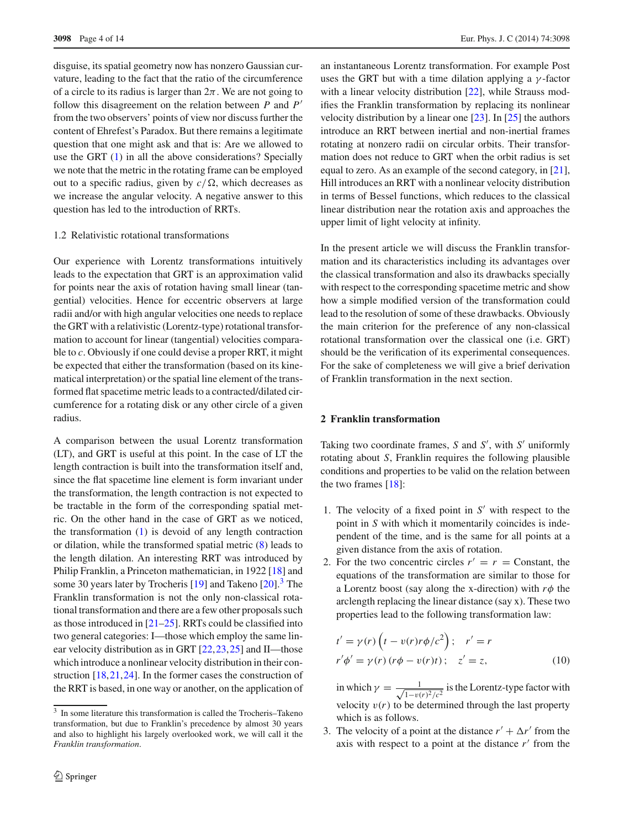disguise, its spatial geometry now has nonzero Gaussian curvature, leading to the fact that the ratio of the circumference of a circle to its radius is larger than  $2\pi$ . We are not going to follow this disagreement on the relation between *P* and *P* from the two observers' points of view nor discuss further the content of Ehrefest's Paradox. But there remains a legitimate question that one might ask and that is: Are we allowed to use the GRT  $(1)$  in all the above considerations? Specially we note that the metric in the rotating frame can be employed out to a specific radius, given by  $c/\Omega$ , which decreases as we increase the angular velocity. A negative answer to this question has led to the introduction of RRTs.

## 1.2 Relativistic rotational transformations

Our experience with Lorentz transformations intuitively leads to the expectation that GRT is an approximation valid for points near the axis of rotation having small linear (tangential) velocities. Hence for eccentric observers at large radii and/or with high angular velocities one needs to replace the GRT with a relativistic (Lorentz-type) rotational transformation to account for linear (tangential) velocities comparable to *c*. Obviously if one could devise a proper RRT, it might be expected that either the transformation (based on its kinematical interpretation) or the spatial line element of the transformed flat spacetime metric leads to a contracted/dilated circumference for a rotating disk or any other circle of a given radius.

A comparison between the usual Lorentz transformation (LT), and GRT is useful at this point. In the case of LT the length contraction is built into the transformation itself and, since the flat spacetime line element is form invariant under the transformation, the length contraction is not expected to be tractable in the form of the corresponding spatial metric. On the other hand in the case of GRT as we noticed, the transformation [\(1\)](#page-1-3) is devoid of any length contraction or dilation, while the transformed spatial metric [\(8\)](#page-2-2) leads to the length dilation. An interesting RRT was introduced by Philip Franklin, a Princeton mathematician, in 1922 [\[18](#page-13-18)] and some [3](#page-3-0)0 years later by Trocheris  $[19]$  and Takeno  $[20]$  $[20]$ .<sup>3</sup> The Franklin transformation is not the only non-classical rotational transformation and there are a few other proposals such as those introduced in [\[21](#page-13-21)[–25\]](#page-13-22). RRTs could be classified into two general categories: I—those which employ the same linear velocity distribution as in GRT [\[22](#page-13-23)[,23](#page-13-24)[,25](#page-13-22)] and II—those which introduce a nonlinear velocity distribution in their construction [\[18,](#page-13-18)[21](#page-13-21)[,24](#page-13-25)]. In the former cases the construction of the RRT is based, in one way or another, on the application of

an instantaneous Lorentz transformation. For example Post uses the GRT but with a time dilation applying a  $\gamma$ -factor with a linear velocity distribution [\[22](#page-13-23)], while Strauss modifies the Franklin transformation by replacing its nonlinear velocity distribution by a linear one [\[23\]](#page-13-24). In [\[25\]](#page-13-22) the authors introduce an RRT between inertial and non-inertial frames rotating at nonzero radii on circular orbits. Their transformation does not reduce to GRT when the orbit radius is set equal to zero. As an example of the second category, in [\[21](#page-13-21)], Hill introduces an RRT with a nonlinear velocity distribution in terms of Bessel functions, which reduces to the classical linear distribution near the rotation axis and approaches the upper limit of light velocity at infinity.

In the present article we will discuss the Franklin transformation and its characteristics including its advantages over the classical transformation and also its drawbacks specially with respect to the corresponding spacetime metric and show how a simple modified version of the transformation could lead to the resolution of some of these drawbacks. Obviously the main criterion for the preference of any non-classical rotational transformation over the classical one (i.e. GRT) should be the verification of its experimental consequences. For the sake of completeness we will give a brief derivation of Franklin transformation in the next section.

# **2 Franklin transformation**

Taking two coordinate frames,  $S$  and  $S'$ , with  $S'$  uniformly rotating about *S*, Franklin requires the following plausible conditions and properties to be valid on the relation between the two frames [\[18](#page-13-18)]:

- 1. The velocity of a fixed point in S' with respect to the point in *S* with which it momentarily coincides is independent of the time, and is the same for all points at a given distance from the axis of rotation.
- 2. For the two concentric circles  $r' = r =$  Constant, the equations of the transformation are similar to those for a Lorentz boost (say along the x-direction) with *r*φ the arclength replacing the linear distance (say x). These two properties lead to the following transformation law:

<span id="page-3-1"></span>
$$
t' = \gamma(r) \left( t - v(r)r\phi/c^2 \right); \quad r' = r
$$
  

$$
r'\phi' = \gamma(r) (r\phi - v(r)t); \quad z' = z,
$$
 (10)

in which  $\gamma = \frac{1}{\sqrt{1 - v(r)^2/c^2}}$  is the Lorentz-type factor with velocity  $v(r)$  to be determined through the last property which is as follows.

3. The velocity of a point at the distance  $r' + \Delta r'$  from the axis with respect to a point at the distance  $r'$  from the

<span id="page-3-0"></span> $\frac{3}{3}$  In some literature this transformation is called the Trocheris–Takeno transformation, but due to Franklin's precedence by almost 30 years and also to highlight his largely overlooked work, we will call it the *Franklin transformation*.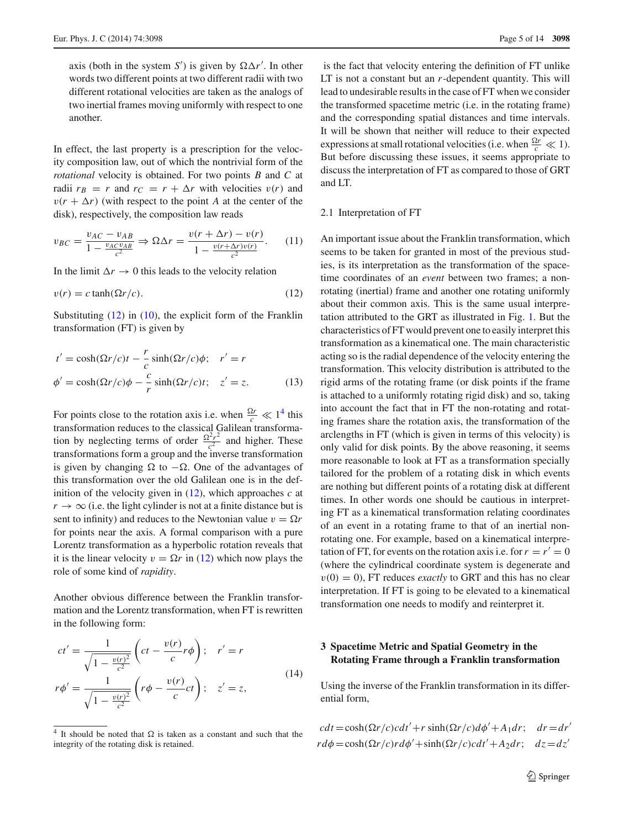axis (both in the system S') is given by  $\Omega \Delta r'$ . In other words two different points at two different radii with two different rotational velocities are taken as the analogs of two inertial frames moving uniformly with respect to one another.

In effect, the last property is a prescription for the velocity composition law, out of which the nontrivial form of the *rotational* velocity is obtained. For two points *B* and *C* at radii  $r_B = r$  and  $r_C = r + \Delta r$  with velocities  $v(r)$  and  $v(r + \Delta r)$  (with respect to the point *A* at the center of the disk), respectively, the composition law reads

$$
v_{BC} = \frac{v_{AC} - v_{AB}}{1 - \frac{v_{AC}v_{AB}}{c^2}} \Rightarrow \Omega \Delta r = \frac{v(r + \Delta r) - v(r)}{1 - \frac{v(r + \Delta r)v(r)}{c^2}}.
$$
 (11)

In the limit  $\Delta r \rightarrow 0$  this leads to the velocity relation

<span id="page-4-0"></span>
$$
v(r) = c \tanh(\Omega r/c). \tag{12}
$$

Substituting  $(12)$  in  $(10)$ , the explicit form of the Franklin transformation (FT) is given by

$$
t' = \cosh(\Omega r/c)t - \frac{r}{c}\sinh(\Omega r/c)\phi; \quad r' = r
$$
  

$$
\phi' = \cosh(\Omega r/c)\phi - \frac{c}{r}\sinh(\Omega r/c)t; \quad z' = z.
$$
 (13)

For points close to the rotation axis i.e. when  $\frac{\Omega r}{c} \ll 1^4$  this transformation reduces to the classical Galilean transformation by neglecting terms of order  $\frac{\Omega^2 r^2}{c^2}$  and higher. These transformations form a group and the inverse transformation is given by changing  $\Omega$  to  $-\Omega$ . One of the advantages of this transformation over the old Galilean one is in the definition of the velocity given in  $(12)$ , which approaches  $c$  at  $r \to \infty$  (i.e. the light cylinder is not at a finite distance but is sent to infinity) and reduces to the Newtonian value  $v = \Omega r$ for points near the axis. A formal comparison with a pure Lorentz transformation as a hyperbolic rotation reveals that it is the linear velocity  $v = \Omega r$  in [\(12\)](#page-4-0) which now plays the role of some kind of *rapidity*.

Another obvious difference between the Franklin transformation and the Lorentz transformation, when FT is rewritten in the following form:

<span id="page-4-3"></span>
$$
ct' = \frac{1}{\sqrt{1 - \frac{v(r)^2}{c^2}}} \left( ct - \frac{v(r)}{c} r \phi \right); \quad r' = r
$$
  

$$
r\phi' = \frac{1}{\sqrt{1 - \frac{v(r)^2}{c^2}}} \left( r\phi - \frac{v(r)}{c} ct \right); \quad z' = z,
$$
 (14)

is the fact that velocity entering the definition of FT unlike LT is not a constant but an *r*-dependent quantity. This will lead to undesirable results in the case of FT when we consider the transformed spacetime metric (i.e. in the rotating frame) and the corresponding spatial distances and time intervals. It will be shown that neither will reduce to their expected expressions at small rotational velocities (i.e. when  $\frac{\Omega r}{c} \ll 1$ ). But before discussing these issues, it seems appropriate to discuss the interpretation of FT as compared to those of GRT and LT.

## 2.1 Interpretation of FT

<span id="page-4-2"></span>An important issue about the Franklin transformation, which seems to be taken for granted in most of the previous studies, is its interpretation as the transformation of the spacetime coordinates of an *event* between two frames; a nonrotating (inertial) frame and another one rotating uniformly about their common axis. This is the same usual interpretation attributed to the GRT as illustrated in Fig. [1.](#page-1-0) But the characteristics of FT would prevent one to easily interpret this transformation as a kinematical one. The main characteristic acting so is the radial dependence of the velocity entering the transformation. This velocity distribution is attributed to the rigid arms of the rotating frame (or disk points if the frame is attached to a uniformly rotating rigid disk) and so, taking into account the fact that in FT the non-rotating and rotating frames share the rotation axis, the transformation of the arclengths in FT (which is given in terms of this velocity) is only valid for disk points. By the above reasoning, it seems more reasonable to look at FT as a transformation specially tailored for the problem of a rotating disk in which events are nothing but different points of a rotating disk at different times. In other words one should be cautious in interpreting FT as a kinematical transformation relating coordinates of an event in a rotating frame to that of an inertial nonrotating one. For example, based on a kinematical interpretation of FT, for events on the rotation axis i.e. for  $r = r' = 0$ (where the cylindrical coordinate system is degenerate and  $v(0) = 0$ , FT reduces *exactly* to GRT and this has no clear interpretation. If FT is going to be elevated to a kinematical transformation one needs to modify and reinterpret it.

# **3 Spacetime Metric and Spatial Geometry in the Rotating Frame through a Franklin transformation**

Using the inverse of the Franklin transformation in its differential form,

 $cdt = \cosh(\Omega r/c)cdt' + r\sinh(\Omega r/c)d\phi' + A_1dr; \quad dr = dr'$  $r d\phi = \cosh(\Omega r/c) r d\phi' + \sinh(\Omega r/c) c dt' + A_2 dr; \quad dz = dz'$ 

<span id="page-4-1"></span> $4$  It should be noted that  $\Omega$  is taken as a constant and such that the integrity of the rotating disk is retained.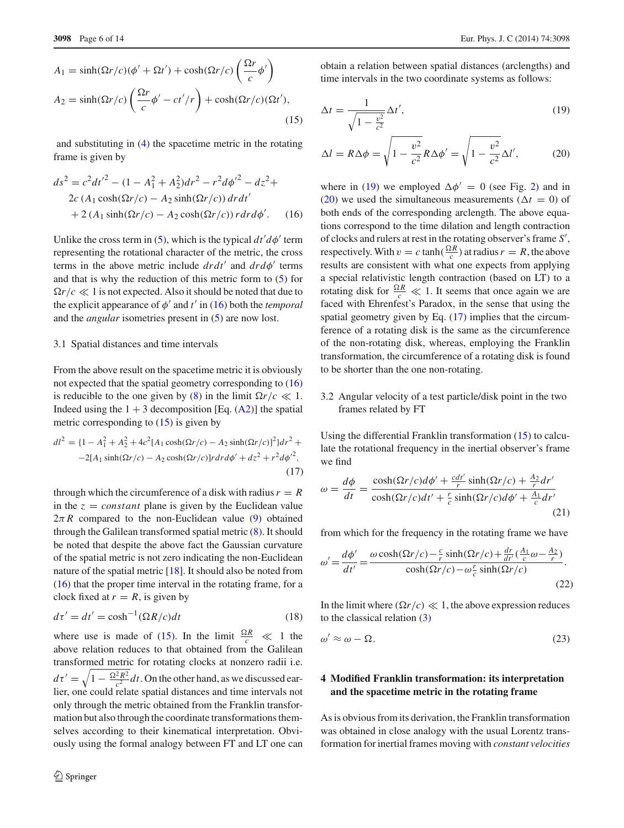$$
A_1 = \sinh(\Omega r/c)(\phi' + \Omega t') + \cosh(\Omega r/c) \left(\frac{\Omega r}{c}\phi'\right)
$$
  

$$
A_2 = \sinh(\Omega r/c) \left(\frac{\Omega r}{c}\phi' - ct'/r\right) + \cosh(\Omega r/c)(\Omega t'),
$$
  
(15)

and substituting in [\(4\)](#page-2-3) the spacetime metric in the rotating frame is given by

$$
ds^{2} = c^{2}dt'^{2} - (1 - A_{1}^{2} + A_{2}^{2})dr^{2} - r^{2}d\phi'^{2} - dz^{2} + 2c(A_{1}\cosh(\Omega r/c) - A_{2}\sinh(\Omega r/c)) drdt' + 2(A_{1}\sinh(\Omega r/c) - A_{2}\cosh(\Omega r/c)) r dr d\phi'. \quad (16)
$$

Unlike the cross term in [\(5\)](#page-2-1), which is the typical  $dt' d\phi'$  term representing the rotational character of the metric, the cross terms in the above metric include  $drdt'$  and  $drd\phi'$  terms and that is why the reduction of this metric form to [\(5\)](#page-2-1) for  $\Omega r/c \ll 1$  is not expected. Also it should be noted that due to the explicit appearance of  $\phi'$  and  $t'$  in [\(16\)](#page-5-0) both the *temporal* and the *angular* isometries present in [\(5\)](#page-2-1) are now lost.

#### 3.1 Spatial distances and time intervals

From the above result on the spacetime metric it is obviously not expected that the spatial geometry corresponding to [\(16\)](#page-5-0) is reducible to the one given by [\(8\)](#page-2-2) in the limit  $\Omega r/c \ll 1$ . Indeed using the  $1 + 3$  decomposition [Eq. [\(A2\)](#page-11-0)] the spatial metric corresponding to  $(15)$  is given by

<span id="page-5-4"></span>
$$
dl^{2} = \{1 - A_{1}^{2} + A_{2}^{2} + 4c^{2}[A_{1}\cosh(\Omega r/c) - A_{2}\sinh(\Omega r/c)]^{2}\}dr^{2} +
$$
  
-2[A\_{1}\sinh(\Omega r/c) - A\_{2}\cosh(\Omega r/c)]r dr d\phi' + dz^{2} + r^{2}d\phi'^{2}, (17)

through which the circumference of a disk with radius  $r = R$ in the  $z = constant$  plane is given by the Euclidean value  $2\pi R$  compared to the non-Euclidean value [\(9\)](#page-2-4) obtained through the Galilean transformed spatial metric [\(8\)](#page-2-2). It should be noted that despite the above fact the Gaussian curvature of the spatial metric is not zero indicating the non-Euclidean nature of the spatial metric [\[18](#page-13-18)]. It should also be noted from [\(16\)](#page-5-0) that the proper time interval in the rotating frame, for a clock fixed at  $r = R$ , is given by

<span id="page-5-5"></span>
$$
d\tau' = dt' = \cosh^{-1}(\Omega R/c)dt
$$
 (18)

where use is made of [\(15\)](#page-5-1). In the limit  $\frac{\Omega R}{c} \ll 1$  the above relation reduces to that obtained from the Galilean transformed metric for rotating clocks at nonzero radii i.e.  $d\tau' = \sqrt{1 - \frac{\Omega^2 R^2}{c^2}} dt$ . On the other hand, as we discussed earlier, one could relate spatial distances and time intervals not only through the metric obtained from the Franklin transformation but also through the coordinate transformations themselves according to their kinematical interpretation. Obviously using the formal analogy between FT and LT one can obtain a relation between spatial distances (arclengths) and time intervals in the two coordinate systems as follows:

<span id="page-5-2"></span><span id="page-5-1"></span>
$$
\Delta t = \frac{1}{\sqrt{1 - \frac{v^2}{c^2}}} \Delta t',\tag{19}
$$

<span id="page-5-3"></span>
$$
\Delta l = R \Delta \phi = \sqrt{1 - \frac{v^2}{c^2}} R \Delta \phi' = \sqrt{1 - \frac{v^2}{c^2}} \Delta l', \qquad (20)
$$

<span id="page-5-0"></span>where in [\(19\)](#page-5-2) we employed  $\Delta \phi' = 0$  (see Fig. [2\)](#page-1-1) and in [\(20\)](#page-5-3) we used the simultaneous measurements ( $\Delta t = 0$ ) of both ends of the corresponding arclength. The above equations correspond to the time dilation and length contraction of clocks and rulers at rest in the rotating observer's frame S', respectively. With  $v = c \tanh(\frac{\Omega R}{c})$  at radius  $r = R$ , the above results are consistent with what one expects from applying a special relativistic length contraction (based on LT) to a rotating disk for  $\frac{\Omega R}{c} \ll 1$ . It seems that once again we are faced with Ehrenfest's Paradox, in the sense that using the spatial geometry given by Eq.  $(17)$  implies that the circumference of a rotating disk is the same as the circumference of the non-rotating disk, whereas, employing the Franklin transformation, the circumference of a rotating disk is found to be shorter than the one non-rotating.

# 3.2 Angular velocity of a test particle/disk point in the two frames related by FT

Using the differential Franklin transformation [\(15\)](#page-5-1) to calculate the rotational frequency in the inertial observer's frame we find

$$
\omega = \frac{d\phi}{dt} = \frac{\cosh(\Omega r/c)d\phi' + \frac{cdt'}{r}\sinh(\Omega r/c) + \frac{A_2}{r}dr'}{\cosh(\Omega r/c)dt' + \frac{r}{c}\sinh(\Omega r/c)d\phi' + \frac{A_1}{c}dr'}
$$
\n(21)

from which for the frequency in the rotating frame we have

$$
\omega' = \frac{d\phi'}{dt'} = \frac{\omega \cosh(\Omega r/c) - \frac{c}{r} \sinh(\Omega r/c) + \frac{dr}{dt'} (\frac{A_1}{c} \omega - \frac{A_2}{r})}{\cosh(\Omega r/c) - \omega_c^r \sinh(\Omega r/c)}.
$$
\n(22)

In the limit where  $(\Omega r/c) \ll 1$ , the above expression reduces to the classical relation [\(3\)](#page-1-4)

$$
\omega' \approx \omega - \Omega. \tag{23}
$$

# **4 Modified Franklin transformation: its interpretation and the spacetime metric in the rotating frame**

As is obvious from its derivation, the Franklin transformation was obtained in close analogy with the usual Lorentz transformation for inertial frames moving with *constant velocities*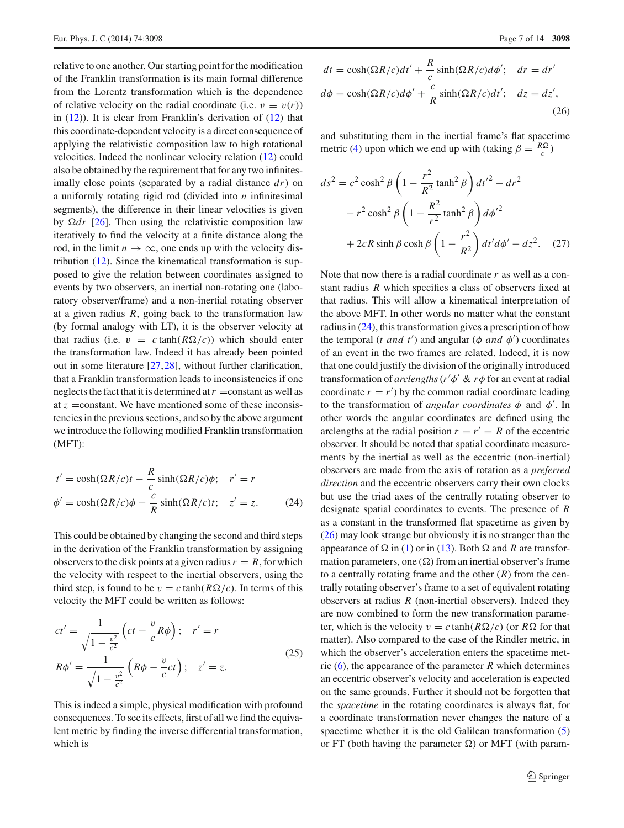relative to one another. Our starting point for the modification of the Franklin transformation is its main formal difference from the Lorentz transformation which is the dependence of relative velocity on the radial coordinate (i.e.  $v \equiv v(r)$ ) in  $(12)$ ). It is clear from Franklin's derivation of  $(12)$  that this coordinate-dependent velocity is a direct consequence of applying the relativistic composition law to high rotational velocities. Indeed the nonlinear velocity relation [\(12\)](#page-4-0) could also be obtained by the requirement that for any two infinitesimally close points (separated by a radial distance *dr*) on a uniformly rotating rigid rod (divided into *n* infinitesimal segments), the difference in their linear velocities is given by  $\Omega dr$  [\[26](#page-13-26)]. Then using the relativistic composition law iteratively to find the velocity at a finite distance along the rod, in the limit  $n \to \infty$ , one ends up with the velocity distribution [\(12\)](#page-4-0). Since the kinematical transformation is supposed to give the relation between coordinates assigned to events by two observers, an inertial non-rotating one (laboratory observer/frame) and a non-inertial rotating observer at a given radius *R*, going back to the transformation law (by formal analogy with LT), it is the observer velocity at that radius (i.e.  $v = c \tanh(R\Omega/c)$ ) which should enter the transformation law. Indeed it has already been pointed out in some literature [\[27,](#page-13-27)[28\]](#page-13-28), without further clarification, that a Franklin transformation leads to inconsistencies if one neglects the fact that it is determined at  $r = constant$  as well as at  $z = constant$ . We have mentioned some of these inconsistencies in the previous sections, and so by the above argument we introduce the following modified Franklin transformation (MFT):

$$
t' = \cosh(\Omega R/c)t - \frac{R}{c}\sinh(\Omega R/c)\phi; \quad r' = r
$$
  

$$
\phi' = \cosh(\Omega R/c)\phi - \frac{c}{R}\sinh(\Omega R/c)t; \quad z' = z.
$$
 (24)

This could be obtained by changing the second and third steps in the derivation of the Franklin transformation by assigning observers to the disk points at a given radius  $r = R$ , for which the velocity with respect to the inertial observers, using the third step, is found to be  $v = c \tanh(R\Omega/c)$ . In terms of this velocity the MFT could be written as follows:

<span id="page-6-3"></span>
$$
ct' = \frac{1}{\sqrt{1 - \frac{v^2}{c^2}}} \left( ct - \frac{v}{c} R \phi \right); \quad r' = r
$$
  
\n
$$
R\phi' = \frac{1}{\sqrt{1 - \frac{v^2}{c^2}}} \left( R\phi - \frac{v}{c} ct \right); \quad z' = z.
$$
\n(25)

This is indeed a simple, physical modification with profound consequences. To see its effects, first of all we find the equivalent metric by finding the inverse differential transformation, which is

$$
dt = \cosh(\Omega R/c)dt' + \frac{R}{c}\sinh(\Omega R/c)d\phi'; \quad dr = dr'
$$
  

$$
d\phi = \cosh(\Omega R/c)d\phi' + \frac{c}{R}\sinh(\Omega R/c)dt'; \quad dz = dz',
$$
 (26)

<span id="page-6-1"></span>and substituting them in the inertial frame's flat spacetime metric [\(4\)](#page-2-3) upon which we end up with (taking  $\beta = \frac{R\Omega}{c}$ )

$$
ds^{2} = c^{2} \cosh^{2} \beta \left( 1 - \frac{r^{2}}{R^{2}} \tanh^{2} \beta \right) dt'^{2} - dr^{2}
$$

$$
-r^{2} \cosh^{2} \beta \left( 1 - \frac{R^{2}}{r^{2}} \tanh^{2} \beta \right) d\phi'^{2}
$$

$$
+ 2cR \sinh \beta \cosh \beta \left( 1 - \frac{r^{2}}{R^{2}} \right) dt' d\phi' - dz^{2}. \quad (27)
$$

<span id="page-6-2"></span><span id="page-6-0"></span>Note that now there is a radial coordinate *r* as well as a constant radius *R* which specifies a class of observers fixed at that radius. This will allow a kinematical interpretation of the above MFT. In other words no matter what the constant radius in [\(24\)](#page-6-0), this transformation gives a prescription of how the temporal (*t and t'*) and angular ( $\phi$  *and*  $\phi'$ ) coordinates of an event in the two frames are related. Indeed, it is now that one could justify the division of the originally introduced transformation of  $\alpha$ rclengths ( $r' \phi'$  &  $r \phi$  for an event at radial coordinate  $r = r'$ ) by the common radial coordinate leading to the transformation of *angular coordinates*  $\phi$  and  $\phi'$ . In other words the angular coordinates are defined using the arclengths at the radial position  $r = r' = R$  of the eccentric observer. It should be noted that spatial coordinate measurements by the inertial as well as the eccentric (non-inertial) observers are made from the axis of rotation as a *preferred direction* and the eccentric observers carry their own clocks but use the triad axes of the centrally rotating observer to designate spatial coordinates to events. The presence of *R* as a constant in the transformed flat spacetime as given by [\(26\)](#page-6-1) may look strange but obviously it is no stranger than the appearance of  $\Omega$  in [\(1\)](#page-1-3) or in [\(13\)](#page-4-2). Both  $\Omega$  and *R* are transformation parameters, one  $(\Omega)$  from an inertial observer's frame to a centrally rotating frame and the other  $(R)$  from the centrally rotating observer's frame to a set of equivalent rotating observers at radius *R* (non-inertial observers). Indeed they are now combined to form the new transformation parameter, which is the velocity  $v = c \tanh(R\Omega/c)$  (or  $R\Omega$  for that matter). Also compared to the case of the Rindler metric, in which the observer's acceleration enters the spacetime metric [\(6\)](#page-2-5), the appearance of the parameter *R* which determines an eccentric observer's velocity and acceleration is expected on the same grounds. Further it should not be forgotten that the *spacetime* in the rotating coordinates is always flat, for a coordinate transformation never changes the nature of a spacetime whether it is the old Galilean transformation [\(5\)](#page-2-1) or FT (both having the parameter  $\Omega$ ) or MFT (with param-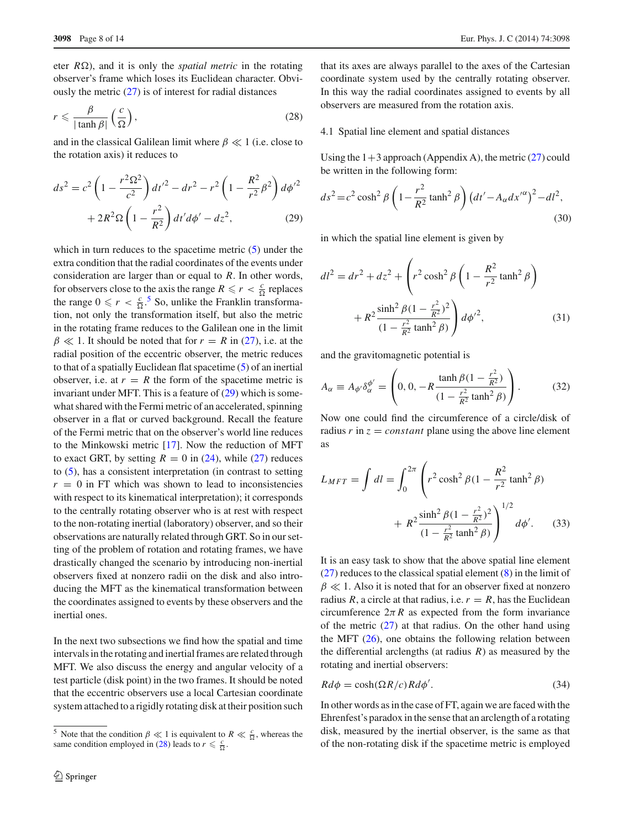eter  $R\Omega$ ), and it is only the *spatial metric* in the rotating observer's frame which loses its Euclidean character. Obviously the metric  $(27)$  is of interest for radial distances

<span id="page-7-2"></span>
$$
r \leqslant \frac{\beta}{|\tanh \beta|} \left(\frac{c}{\Omega}\right),\tag{28}
$$

and in the classical Galilean limit where  $\beta \ll 1$  (i.e. close to the rotation axis) it reduces to

$$
ds^{2} = c^{2} \left( 1 - \frac{r^{2} \Omega^{2}}{c^{2}} \right) dt'^{2} - dr^{2} - r^{2} \left( 1 - \frac{R^{2}}{r^{2}} \beta^{2} \right) d\phi'^{2}
$$

$$
+ 2R^{2} \Omega \left( 1 - \frac{r^{2}}{R^{2}} \right) dt' d\phi' - dz^{2}, \qquad (29)
$$

which in turn reduces to the spacetime metric  $(5)$  under the extra condition that the radial coordinates of the events under consideration are larger than or equal to *R*. In other words, for observers close to the axis the range  $R \le r < \frac{c}{\Omega}$  replaces the range  $0 \le r < \frac{c}{\Omega}$ .<sup>[5](#page-7-0)</sup> So, unlike the Franklin transformation, not only the transformation itself, but also the metric in the rotating frame reduces to the Galilean one in the limit  $\beta \ll 1$ . It should be noted that for  $r = R$  in [\(27\)](#page-6-2), i.e. at the radial position of the eccentric observer, the metric reduces to that of a spatially Euclidean flat spacetime [\(5\)](#page-2-1) of an inertial observer, i.e. at  $r = R$  the form of the spacetime metric is invariant under MFT. This is a feature of [\(29\)](#page-7-1) which is somewhat shared with the Fermi metric of an accelerated, spinning observer in a flat or curved background. Recall the feature of the Fermi metric that on the observer's world line reduces to the Minkowski metric [\[17](#page-13-17)]. Now the reduction of MFT to exact GRT, by setting  $R = 0$  in [\(24\)](#page-6-0), while [\(27\)](#page-6-2) reduces to [\(5\)](#page-2-1), has a consistent interpretation (in contrast to setting  $r = 0$  in FT which was shown to lead to inconsistencies with respect to its kinematical interpretation); it corresponds to the centrally rotating observer who is at rest with respect to the non-rotating inertial (laboratory) observer, and so their observations are naturally related through GRT. So in our setting of the problem of rotation and rotating frames, we have drastically changed the scenario by introducing non-inertial observers fixed at nonzero radii on the disk and also introducing the MFT as the kinematical transformation between the coordinates assigned to events by these observers and the inertial ones.

In the next two subsections we find how the spatial and time intervals in the rotating and inertial frames are related through MFT. We also discuss the energy and angular velocity of a test particle (disk point) in the two frames. It should be noted that the eccentric observers use a local Cartesian coordinate system attached to a rigidly rotating disk at their position such

that its axes are always parallel to the axes of the Cartesian coordinate system used by the centrally rotating observer. In this way the radial coordinates assigned to events by all observers are measured from the rotation axis.

#### 4.1 Spatial line element and spatial distances

Using the  $1+3$  approach (Appendix A), the metric [\(27\)](#page-6-2) could be written in the following form:

<span id="page-7-1"></span>
$$
ds^{2} = c^{2} \cosh^{2} \beta \left(1 - \frac{r^{2}}{R^{2}} \tanh^{2} \beta\right) \left(dt' - A_{\alpha} dx'^{\alpha}\right)^{2} - dl^{2},
$$
\n(30)

in which the spatial line element is given by

$$
dl^{2} = dr^{2} + dz^{2} + \left(r^{2} \cosh^{2} \beta \left(1 - \frac{R^{2}}{r^{2}} \tanh^{2} \beta\right) + R^{2} \frac{\sinh^{2} \beta (1 - \frac{r^{2}}{R^{2}})^{2}}{(1 - \frac{r^{2}}{R^{2}} \tanh^{2} \beta)}\right) d\phi'^{2},
$$
\n(31)

and the gravitomagnetic potential is

$$
A_{\alpha} \equiv A_{\phi'} \delta_{\alpha}^{\phi'} = \left( 0, 0, -R \frac{\tanh \beta (1 - \frac{r^2}{R^2})}{(1 - \frac{r^2}{R^2} \tanh^2 \beta)} \right). \tag{32}
$$

Now one could find the circumference of a circle/disk of radius  $r$  in  $z = constant$  plane using the above line element as

$$
L_{MFT} = \int dl = \int_0^{2\pi} \left( r^2 \cosh^2 \beta (1 - \frac{R^2}{r^2} \tanh^2 \beta) + R^2 \frac{\sinh^2 \beta (1 - \frac{r^2}{R^2})^2}{(1 - \frac{r^2}{R^2} \tanh^2 \beta)} \right)^{1/2} d\phi'. \tag{33}
$$

It is an easy task to show that the above spatial line element  $(27)$  reduces to the classical spatial element  $(8)$  in the limit of  $\beta \ll 1$ . Also it is noted that for an observer fixed at nonzero radius *R*, a circle at that radius, i.e.  $r = R$ , has the Euclidean circumference  $2\pi R$  as expected from the form invariance of the metric  $(27)$  at that radius. On the other hand using the MFT [\(26\)](#page-6-1), one obtains the following relation between the differential arclengths (at radius  $R$ ) as measured by the rotating and inertial observers:

$$
Rd\phi = \cosh(\Omega R/c)Rd\phi'.\tag{34}
$$

In other words as in the case of FT, again we are faced with the Ehrenfest's paradox in the sense that an arclength of a rotating disk, measured by the inertial observer, is the same as that of the non-rotating disk if the spacetime metric is employed

<span id="page-7-0"></span><sup>&</sup>lt;sup>5</sup> Note that the condition  $\beta \ll 1$  is equivalent to  $R \ll \frac{c}{\Omega}$ , whereas the same condition employed in [\(28\)](#page-7-2) leads to  $r \leq \frac{c}{\Omega}$ .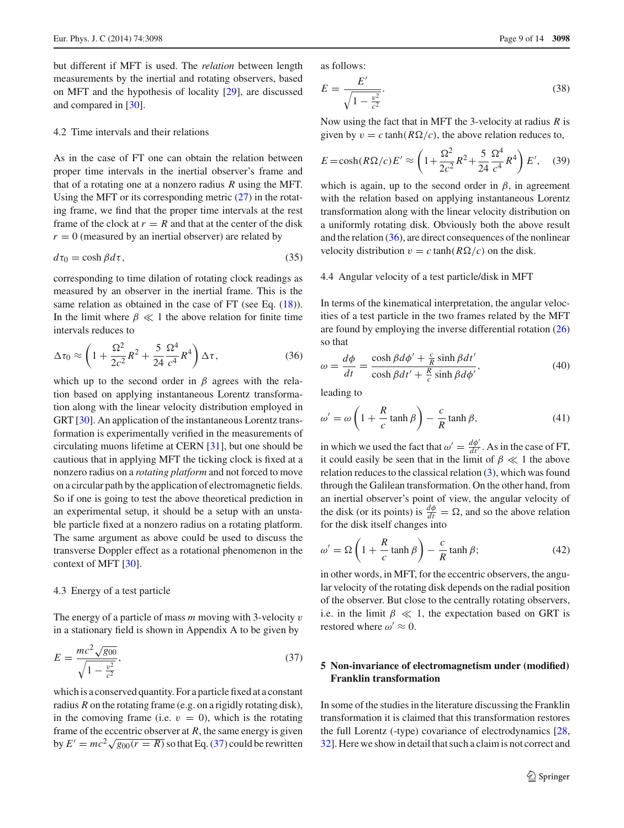but different if MFT is used. The *relation* between length measurements by the inertial and rotating observers, based on MFT and the hypothesis of locality [\[29](#page-13-29)], are discussed and compared in [\[30](#page-13-30)].

## 4.2 Time intervals and their relations

As in the case of FT one can obtain the relation between proper time intervals in the inertial observer's frame and that of a rotating one at a nonzero radius *R* using the MFT. Using the MFT or its corresponding metric  $(27)$  in the rotating frame, we find that the proper time intervals at the rest frame of the clock at  $r = R$  and that at the center of the disk  $r = 0$  (measured by an inertial observer) are related by

$$
d\tau_0 = \cosh\beta d\tau,\tag{35}
$$

corresponding to time dilation of rotating clock readings as measured by an observer in the inertial frame. This is the same relation as obtained in the case of FT (see Eq. [\(18\)](#page-5-5)). In the limit where  $\beta \ll 1$  the above relation for finite time intervals reduces to

<span id="page-8-1"></span>
$$
\Delta \tau_0 \approx \left( 1 + \frac{\Omega^2}{2c^2} R^2 + \frac{5}{24} \frac{\Omega^4}{c^4} R^4 \right) \Delta \tau, \tag{36}
$$

which up to the second order in  $\beta$  agrees with the relation based on applying instantaneous Lorentz transformation along with the linear velocity distribution employed in GRT [\[30](#page-13-30)]. An application of the instantaneous Lorentz transformation is experimentally verified in the measurements of circulating muons lifetime at CERN [\[31\]](#page-13-31), but one should be cautious that in applying MFT the ticking clock is fixed at a nonzero radius on a *rotating platform* and not forced to move on a circular path by the application of electromagnetic fields. So if one is going to test the above theoretical prediction in an experimental setup, it should be a setup with an unstable particle fixed at a nonzero radius on a rotating platform. The same argument as above could be used to discuss the transverse Doppler effect as a rotational phenomenon in the context of MFT [\[30\]](#page-13-30).

# 4.3 Energy of a test particle

The energy of a particle of mass *m* moving with 3-velocity v in a stationary field is shown in Appendix A to be given by

<span id="page-8-0"></span>
$$
E = \frac{mc^2 \sqrt{g_{00}}}{\sqrt{1 - \frac{v^2}{c^2}}},
$$
\n(37)

which is a conserved quantity. For a particle fixed at a constant radius *R* on the rotating frame (e.g. on a rigidly rotating disk), in the comoving frame (i.e.  $v = 0$ ), which is the rotating frame of the eccentric observer at  $R$ , the same energy is given by  $E' = mc^2 \sqrt{g_{00}(r = R)}$  so that Eq. [\(37\)](#page-8-0) could be rewritten

as follows:

$$
E = \frac{E'}{\sqrt{1 - \frac{v^2}{c^2}}}.
$$
\n(38)

Now using the fact that in MFT the 3-velocity at radius *R* is given by  $v = c \tanh(R\Omega/c)$ , the above relation reduces to,

$$
E = \cosh(R\Omega/c)E' \approx \left(1 + \frac{\Omega^2}{2c^2}R^2 + \frac{5}{24}\frac{\Omega^4}{c^4}R^4\right)E',\quad(39)
$$

which is again, up to the second order in  $\beta$ , in agreement with the relation based on applying instantaneous Lorentz transformation along with the linear velocity distribution on a uniformly rotating disk. Obviously both the above result and the relation [\(36\)](#page-8-1), are direct consequences of the nonlinear velocity distribution  $v = c \tanh(R\Omega/c)$  on the disk.

#### 4.4 Angular velocity of a test particle/disk in MFT

In terms of the kinematical interpretation, the angular velocities of a test particle in the two frames related by the MFT are found by employing the inverse differential rotation [\(26\)](#page-6-1) so that

$$
\omega = \frac{d\phi}{dt} = \frac{\cosh\beta d\phi' + \frac{c}{R}\sinh\beta dt'}{\cosh\beta dt' + \frac{R}{c}\sinh\beta d\phi'},\tag{40}
$$

leading to

$$
\omega' = \omega \left( 1 + \frac{R}{c} \tanh \beta \right) - \frac{c}{R} \tanh \beta, \tag{41}
$$

in which we used the fact that  $\omega' = \frac{d\phi'}{dt'}$ . As in the case of FT, it could easily be seen that in the limit of  $\beta \ll 1$  the above relation reduces to the classical relation [\(3\)](#page-1-4), which was found through the Galilean transformation. On the other hand, from an inertial observer's point of view, the angular velocity of the disk (or its points) is  $\frac{d\phi}{dt} = \Omega$ , and so the above relation for the disk itself changes into

$$
\omega' = \Omega \left( 1 + \frac{R}{c} \tanh \beta \right) - \frac{c}{R} \tanh \beta; \tag{42}
$$

in other words, in MFT, for the eccentric observers, the angular velocity of the rotating disk depends on the radial position of the observer. But close to the centrally rotating observers, i.e. in the limit  $\beta \ll 1$ , the expectation based on GRT is restored where  $\omega' \approx 0$ .

# **5 Non-invariance of electromagnetism under (modified) Franklin transformation**

In some of the studies in the literature discussing the Franklin transformation it is claimed that this transformation restores the full Lorentz (-type) covariance of electrodynamics [\[28,](#page-13-28) [32](#page-13-32)]. Here we show in detail that such a claim is not correct and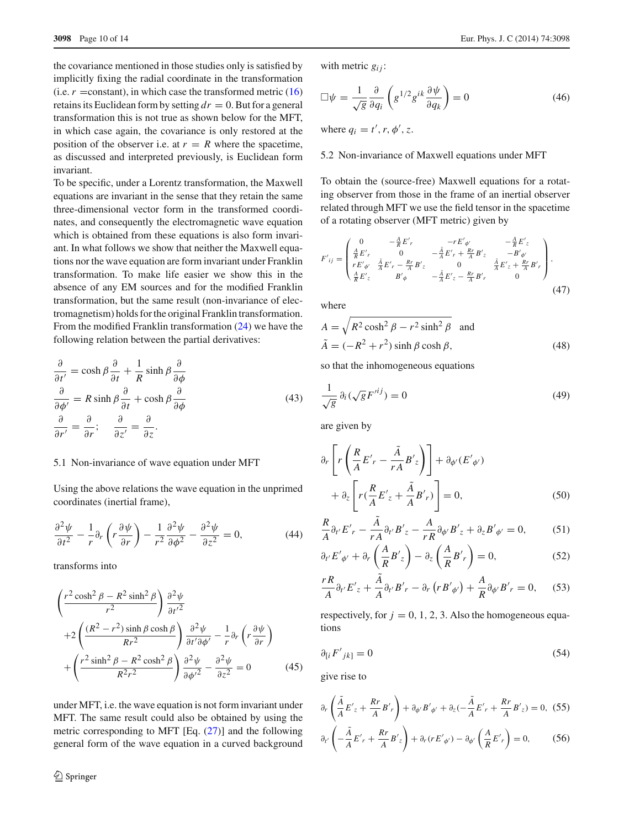the covariance mentioned in those studies only is satisfied by implicitly fixing the radial coordinate in the transformation (i.e.  $r = constant$ ), in which case the transformed metric [\(16\)](#page-5-0) retains its Euclidean form by setting  $dr = 0$ . But for a general transformation this is not true as shown below for the MFT, in which case again, the covariance is only restored at the position of the observer i.e. at  $r = R$  where the spacetime, as discussed and interpreted previously, is Euclidean form invariant.

To be specific, under a Lorentz transformation, the Maxwell equations are invariant in the sense that they retain the same three-dimensional vector form in the transformed coordinates, and consequently the electromagnetic wave equation which is obtained from these equations is also form invariant. In what follows we show that neither the Maxwell equations nor the wave equation are form invariant under Franklin transformation. To make life easier we show this in the absence of any EM sources and for the modified Franklin transformation, but the same result (non-invariance of electromagnetism) holds for the original Franklin transformation. From the modified Franklin transformation [\(24\)](#page-6-0) we have the following relation between the partial derivatives:

<span id="page-9-2"></span>
$$
\frac{\partial}{\partial t'} = \cosh \beta \frac{\partial}{\partial t} + \frac{1}{R} \sinh \beta \frac{\partial}{\partial \phi}
$$
  

$$
\frac{\partial}{\partial \phi'} = R \sinh \beta \frac{\partial}{\partial t} + \cosh \beta \frac{\partial}{\partial \phi}
$$
  

$$
\frac{\partial}{\partial r'} = \frac{\partial}{\partial r}; \quad \frac{\partial}{\partial z'} = \frac{\partial}{\partial z}.
$$
 (43)

## 5.1 Non-invariance of wave equation under MFT

Using the above relations the wave equation in the unprimed coordinates (inertial frame),

$$
\frac{\partial^2 \psi}{\partial t^2} - \frac{1}{r} \partial_r \left( r \frac{\partial \psi}{\partial r} \right) - \frac{1}{r^2} \frac{\partial^2 \psi}{\partial \phi^2} - \frac{\partial^2 \psi}{\partial z^2} = 0, \tag{44}
$$

transforms into

$$
\left(\frac{r^2 \cosh^2 \beta - R^2 \sinh^2 \beta}{r^2}\right) \frac{\partial^2 \psi}{\partial t'^2} + 2 \left(\frac{(R^2 - r^2) \sinh \beta \cosh \beta}{Rr^2}\right) \frac{\partial^2 \psi}{\partial t' \partial \phi'} - \frac{1}{r} \partial_r \left(r \frac{\partial \psi}{\partial r}\right) + \left(\frac{r^2 \sinh^2 \beta - R^2 \cosh^2 \beta}{R^2 r^2}\right) \frac{\partial^2 \psi}{\partial \phi'^2} - \frac{\partial^2 \psi}{\partial z^2} = 0 \tag{45}
$$

under MFT, i.e. the wave equation is not form invariant under MFT. The same result could also be obtained by using the metric corresponding to MFT [Eq. [\(27\)](#page-6-2)] and the following general form of the wave equation in a curved background

with metric  $g_{ij}$ :

$$
\Box \psi = \frac{1}{\sqrt{g}} \frac{\partial}{\partial q_i} \left( g^{1/2} g^{ik} \frac{\partial \psi}{\partial q_k} \right) = 0 \tag{46}
$$

where  $q_i = t', r, \phi', z$ .

#### 5.2 Non-invariance of Maxwell equations under MFT

To obtain the (source-free) Maxwell equations for a rotating observer from those in the frame of an inertial observer related through MFT we use the field tensor in the spacetime of a rotating observer (MFT metric) given by

<span id="page-9-1"></span>
$$
F'_{ij} = \begin{pmatrix} 0 & -\frac{A}{R}E'_{r} & -rE'_{\phi'} & -\frac{A}{R}E'_{z} \\ \frac{A}{R}E'_{r} & 0 & -\frac{\tilde{A}}{A}E'_{r} + \frac{R_{r}}{A}B'_{z} & -B'_{\phi'} \\ rE'_{\phi'} & \frac{\tilde{A}}{A}E'_{r} - \frac{R_{r}}{A}B'_{z} & 0 & \frac{\tilde{A}}{A}E'_{z} + \frac{R_{r}}{A}B'_{r} \\ \frac{A}{R}E'_{z} & B'_{\phi} & -\frac{\tilde{A}}{A}E'_{z} - \frac{R_{r}}{A}B'_{r} & 0 \end{pmatrix},
$$
\n
$$
(47)
$$

where

<span id="page-9-0"></span>
$$
A = \sqrt{R^2 \cosh^2 \beta - r^2 \sinh^2 \beta}
$$
 and  
\n
$$
\tilde{A} = (-R^2 + r^2) \sinh \beta \cosh \beta,
$$
\n(48)

so that the inhomogeneous equations

$$
\frac{1}{\sqrt{g}} \,\partial_i (\sqrt{g} F'^{ij}) = 0 \tag{49}
$$

are given by

$$
\partial_r \left[ r \left( \frac{R}{A} E'_{r} - \frac{\tilde{A}}{r A} B'_{z} \right) \right] + \partial_{\phi'} (E'_{\phi'})
$$

$$
+ \partial_z \left[ r \left( \frac{R}{A} E'_{z} + \frac{\tilde{A}}{A} B'_{r} \right) \right] = 0,
$$
(50)

$$
\frac{R}{A}\partial_{t'}E'_{r} - \frac{\tilde{A}}{rA}\partial_{t'}B'_{z} - \frac{A}{rR}\partial_{\phi'}B'_{z} + \partial_{z}B'_{\phi'} = 0, \qquad (51)
$$

$$
\partial_{t'} E'_{\phi'} + \partial_r \left( \frac{A}{R} B'_{z} \right) - \partial_z \left( \frac{A}{R} B'_{r} \right) = 0, \tag{52}
$$

$$
\frac{rR}{A}\partial_{t'}E'_{z} + \frac{\tilde{A}}{A}\partial_{t'}B'_{r} - \partial_{r}\left(rB'\phi'\right) + \frac{A}{R}\partial_{\phi'}B'_{r} = 0, \quad (53)
$$

respectively, for  $j = 0, 1, 2, 3$ . Also the homogeneous equations

$$
\partial_{[i}F'_{jk]} = 0 \tag{54}
$$

give rise to

$$
\partial_r \left( \frac{\tilde{A}}{A} E'_z + \frac{Rr}{A} B'_r \right) + \partial_{\phi'} B'_{\phi'} + \partial_z (-\frac{\tilde{A}}{A} E'_r + \frac{Rr}{A} B'_z) = 0, \tag{55}
$$

$$
\partial_{t'}\left(-\frac{\tilde{A}}{A}E'_{r} + \frac{Rr}{A}B'_{z}\right) + \partial_{r}(rE'_{\phi'}) - \partial_{\phi'}\left(\frac{A}{R}E'_{r}\right) = 0, \qquad (56)
$$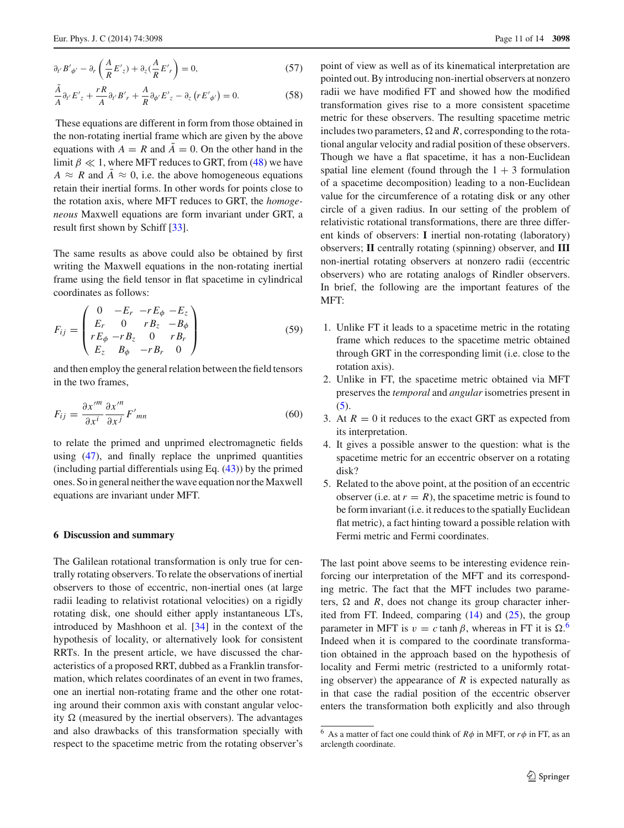$$
\partial_{t'} B'_{\phi'} - \partial_r \left( \frac{A}{R} E'_{z} \right) + \partial_z \left( \frac{A}{R} E'_{r} \right) = 0, \tag{57}
$$

$$
\frac{\tilde{A}}{A}\partial_{t'}E'_{z} + \frac{rR}{A}\partial_{t'}B'_{r} + \frac{A}{R}\partial_{\phi'}E'_{z} - \partial_{z}(rE'_{\phi'}) = 0.
$$
\n(58)

These equations are different in form from those obtained in the non-rotating inertial frame which are given by the above equations with  $A = R$  and  $\tilde{A} = 0$ . On the other hand in the limit  $\beta \ll 1$ , where MFT reduces to GRT, from [\(48\)](#page-9-0) we have  $A \approx R$  and  $\overline{A} \approx 0$ , i.e. the above homogeneous equations retain their inertial forms. In other words for points close to the rotation axis, where MFT reduces to GRT, the *homogeneous* Maxwell equations are form invariant under GRT, a result first shown by Schiff [\[33](#page-13-33)].

The same results as above could also be obtained by first writing the Maxwell equations in the non-rotating inertial frame using the field tensor in flat spacetime in cylindrical coordinates as follows:

$$
F_{ij} = \begin{pmatrix} 0 & -E_r & -rE_{\phi} & -E_z \\ E_r & 0 & rB_z & -B_{\phi} \\ rE_{\phi} & -rB_z & 0 & rB_r \\ E_z & B_{\phi} & -rB_r & 0 \end{pmatrix}
$$
(59)

and then employ the general relation between the field tensors in the two frames,

$$
F_{ij} = \frac{\partial x^{\prime m}}{\partial x^i} \frac{\partial x^{\prime n}}{\partial x^j} F^{\prime}_{mn} \tag{60}
$$

to relate the primed and unprimed electromagnetic fields using [\(47\)](#page-9-1), and finally replace the unprimed quantities (including partial differentials using Eq.  $(43)$ ) by the primed ones. So in general neither the wave equation nor theMaxwell equations are invariant under MFT.

## **6 Discussion and summary**

The Galilean rotational transformation is only true for centrally rotating observers. To relate the observations of inertial observers to those of eccentric, non-inertial ones (at large radii leading to relativist rotational velocities) on a rigidly rotating disk, one should either apply instantaneous LTs, introduced by Mashhoon et al. [\[34](#page-13-34)] in the context of the hypothesis of locality, or alternatively look for consistent RRTs. In the present article, we have discussed the characteristics of a proposed RRT, dubbed as a Franklin transformation, which relates coordinates of an event in two frames, one an inertial non-rotating frame and the other one rotating around their common axis with constant angular velocity  $\Omega$  (measured by the inertial observers). The advantages and also drawbacks of this transformation specially with respect to the spacetime metric from the rotating observer's point of view as well as of its kinematical interpretation are pointed out. By introducing non-inertial observers at nonzero radii we have modified FT and showed how the modified transformation gives rise to a more consistent spacetime metric for these observers. The resulting spacetime metric includes two parameters,  $\Omega$  and R, corresponding to the rotational angular velocity and radial position of these observers. Though we have a flat spacetime, it has a non-Euclidean spatial line element (found through the  $1 + 3$  formulation of a spacetime decomposition) leading to a non-Euclidean value for the circumference of a rotating disk or any other circle of a given radius. In our setting of the problem of relativistic rotational transformations, there are three different kinds of observers: **I** inertial non-rotating (laboratory) observers; **II** centrally rotating (spinning) observer, and **III** non-inertial rotating observers at nonzero radii (eccentric observers) who are rotating analogs of Rindler observers. In brief, the following are the important features of the MFT:

- 1. Unlike FT it leads to a spacetime metric in the rotating frame which reduces to the spacetime metric obtained through GRT in the corresponding limit (i.e. close to the rotation axis).
- 2. Unlike in FT, the spacetime metric obtained via MFT preserves the *temporal* and *angular* isometries present in [\(5\)](#page-2-1).
- 3. At  $R = 0$  it reduces to the exact GRT as expected from its interpretation.
- 4. It gives a possible answer to the question: what is the spacetime metric for an eccentric observer on a rotating disk?
- 5. Related to the above point, at the position of an eccentric observer (i.e. at  $r = R$ ), the spacetime metric is found to be form invariant (i.e. it reduces to the spatially Euclidean flat metric), a fact hinting toward a possible relation with Fermi metric and Fermi coordinates.

The last point above seems to be interesting evidence reinforcing our interpretation of the MFT and its corresponding metric. The fact that the MFT includes two parameters,  $\Omega$  and *R*, does not change its group character inherited from FT. Indeed, comparing [\(14\)](#page-4-3) and [\(25\)](#page-6-3), the group parameter in MFT is  $v = c \tanh \beta$ , whereas in FT it is  $\Omega$ .<sup>[6](#page-10-0)</sup> Indeed when it is compared to the coordinate transformation obtained in the approach based on the hypothesis of locality and Fermi metric (restricted to a uniformly rotating observer) the appearance of *R* is expected naturally as in that case the radial position of the eccentric observer enters the transformation both explicitly and also through

<span id="page-10-0"></span><sup>&</sup>lt;sup>6</sup> As a matter of fact one could think of  $R\phi$  in MFT, or  $r\phi$  in FT, as an arclength coordinate.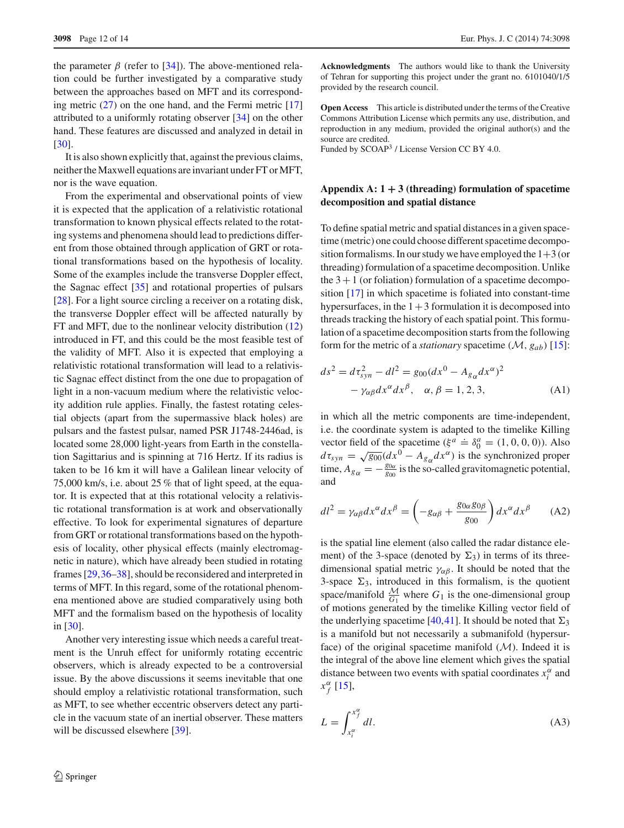the parameter  $\beta$  (refer to [\[34](#page-13-34)]). The above-mentioned relation could be further investigated by a comparative study between the approaches based on MFT and its corresponding metric  $(27)$  on the one hand, and the Fermi metric [\[17\]](#page-13-17) attributed to a uniformly rotating observer [\[34](#page-13-34)] on the other hand. These features are discussed and analyzed in detail in [\[30](#page-13-30)].

It is also shown explicitly that, against the previous claims, neither the Maxwell equations are invariant under FT or MFT, nor is the wave equation.

From the experimental and observational points of view it is expected that the application of a relativistic rotational transformation to known physical effects related to the rotating systems and phenomena should lead to predictions different from those obtained through application of GRT or rotational transformations based on the hypothesis of locality. Some of the examples include the transverse Doppler effect, the Sagnac effect [\[35\]](#page-13-35) and rotational properties of pulsars [\[28](#page-13-28)]. For a light source circling a receiver on a rotating disk, the transverse Doppler effect will be affected naturally by FT and MFT, due to the nonlinear velocity distribution [\(12\)](#page-4-0) introduced in FT, and this could be the most feasible test of the validity of MFT. Also it is expected that employing a relativistic rotational transformation will lead to a relativistic Sagnac effect distinct from the one due to propagation of light in a non-vacuum medium where the relativistic velocity addition rule applies. Finally, the fastest rotating celestial objects (apart from the supermassive black holes) are pulsars and the fastest pulsar, named PSR J1748-2446ad, is located some 28,000 light-years from Earth in the constellation Sagittarius and is spinning at 716 Hertz. If its radius is taken to be 16 km it will have a Galilean linear velocity of 75,000 km/s, i.e. about 25 % that of light speed, at the equator. It is expected that at this rotational velocity a relativistic rotational transformation is at work and observationally effective. To look for experimental signatures of departure from GRT or rotational transformations based on the hypothesis of locality, other physical effects (mainly electromagnetic in nature), which have already been studied in rotating frames [\[29](#page-13-29)[,36](#page-13-36)[–38](#page-13-37)], should be reconsidered and interpreted in terms of MFT. In this regard, some of the rotational phenomena mentioned above are studied comparatively using both MFT and the formalism based on the hypothesis of locality in [\[30\]](#page-13-30).

Another very interesting issue which needs a careful treatment is the Unruh effect for uniformly rotating eccentric observers, which is already expected to be a controversial issue. By the above discussions it seems inevitable that one should employ a relativistic rotational transformation, such as MFT, to see whether eccentric observers detect any particle in the vacuum state of an inertial observer. These matters will be discussed elsewhere [\[39\]](#page-13-38).

**Acknowledgments** The authors would like to thank the University of Tehran for supporting this project under the grant no. 6101040/1/5 provided by the research council.

**Open Access** This article is distributed under the terms of the Creative Commons Attribution License which permits any use, distribution, and reproduction in any medium, provided the original author(s) and the source are credited.

Funded by SCOAP<sup>3</sup> / License Version CC BY 4.0.

# **Appendix A: 1 + 3 (threading) formulation of spacetime decomposition and spatial distance**

To define spatial metric and spatial distances in a given spacetime (metric) one could choose different spacetime decomposition formalisms. In our study we have employed the  $1+3$  (or threading) formulation of a spacetime decomposition. Unlike the  $3+1$  (or foliation) formulation of a spacetime decomposition [\[17](#page-13-17)] in which spacetime is foliated into constant-time hypersurfaces, in the  $1+3$  formulation it is decomposed into threads tracking the history of each spatial point. This formulation of a spacetime decomposition starts from the following form for the metric of a *stationary* spacetime (*M*, *gab*) [\[15](#page-13-13)]:

<span id="page-11-1"></span>
$$
ds^{2} = d\tau_{syn}^{2} - dl^{2} = g_{00}(dx^{0} - A_{g_{\alpha}}dx^{\alpha})^{2}
$$

$$
- \gamma_{\alpha\beta}dx^{\alpha}dx^{\beta}, \quad \alpha, \beta = 1, 2, 3,
$$
 (A1)

in which all the metric components are time-independent, i.e. the coordinate system is adapted to the timelike Killing vector field of the spacetime ( $\xi^a \doteq \delta_0^a = (1, 0, 0, 0)$ ). Also  $d\tau_{syn} = \sqrt{g_{00}}(dx^0 - A_{g\alpha}dx^{\alpha})$  is the synchronized proper time,  $A_{g\alpha} = -\frac{g_{0\alpha}}{g_{00}}$  is the so-called gravitomagnetic potential, and

<span id="page-11-0"></span>
$$
dl^2 = \gamma_{\alpha\beta} dx^{\alpha} dx^{\beta} = \left(-g_{\alpha\beta} + \frac{g_{0\alpha}g_{0\beta}}{g_{00}}\right) dx^{\alpha} dx^{\beta} \tag{A2}
$$

is the spatial line element (also called the radar distance element) of the 3-space (denoted by  $\Sigma_3$ ) in terms of its threedimensional spatial metric  $\gamma_{\alpha\beta}$ . It should be noted that the 3-space  $\Sigma_3$ , introduced in this formalism, is the quotient space/manifold  $\frac{\mathcal{M}}{G_1}$  where  $G_1$  is the one-dimensional group of motions generated by the timelike Killing vector field of the underlying spacetime [\[40](#page-13-39)[,41](#page-13-40)]. It should be noted that  $\Sigma_3$ is a manifold but not necessarily a submanifold (hypersurface) of the original spacetime manifold (*M*). Indeed it is the integral of the above line element which gives the spatial distance between two events with spatial coordinates  $x_i^{\alpha}$  and  $x_f^{\alpha}$  [\[15\]](#page-13-13),

$$
L = \int_{x_i^{\alpha}}^{x_j^{\alpha}} dl.
$$
 (A3)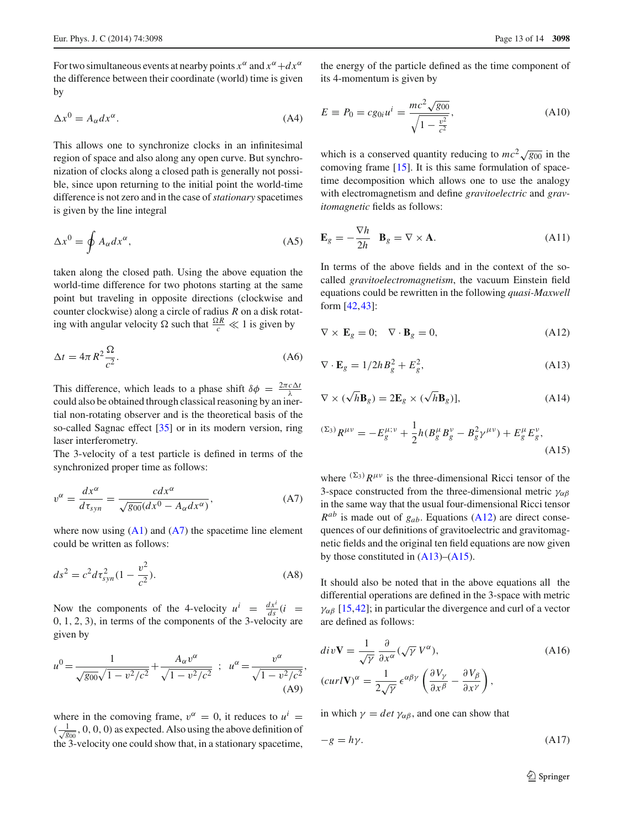For two simultaneous events at nearby points  $x^{\alpha}$  and  $x^{\alpha}+dx^{\alpha}$ the difference between their coordinate (world) time is given by

$$
\Delta x^0 = A_\alpha dx^\alpha. \tag{A4}
$$

This allows one to synchronize clocks in an infinitesimal region of space and also along any open curve. But synchronization of clocks along a closed path is generally not possible, since upon returning to the initial point the world-time difference is not zero and in the case of*stationary* spacetimes is given by the line integral

$$
\Delta x^0 = \oint A_\alpha dx^\alpha, \tag{A5}
$$

taken along the closed path. Using the above equation the world-time difference for two photons starting at the same point but traveling in opposite directions (clockwise and counter clockwise) along a circle of radius *R* on a disk rotating with angular velocity  $\Omega$  such that  $\frac{\Omega R}{c} \ll 1$  is given by

$$
\Delta t = 4\pi R^2 \frac{\Omega}{c^2}.
$$
\n(A6)

This difference, which leads to a phase shift  $\delta \phi = \frac{2\pi c \Delta t}{\lambda}$ could also be obtained through classical reasoning by an inertial non-rotating observer and is the theoretical basis of the so-called Sagnac effect [\[35\]](#page-13-35) or in its modern version, ring laser interferometry.

The 3-velocity of a test particle is defined in terms of the synchronized proper time as follows:

$$
v^{\alpha} = \frac{dx^{\alpha}}{d\tau_{syn}} = \frac{cdx^{\alpha}}{\sqrt{g_{00}}(dx^0 - A_{\alpha}dx^{\alpha})},
$$
(A7)

where now using  $(A1)$  and  $(A7)$  the spacetime line element could be written as follows:

$$
ds^2 = c^2 d\tau_{syn}^2 (1 - \frac{v^2}{c^2}).
$$
 (A8)

Now the components of the 4-velocity  $u^i = \frac{dx^i}{ds}(i)$ 0, 1, 2, 3), in terms of the components of the 3-velocity are given by

$$
u^{0} = \frac{1}{\sqrt{g_{00}}\sqrt{1 - v^{2}/c^{2}}} + \frac{A_{\alpha}v^{\alpha}}{\sqrt{1 - v^{2}/c^{2}}}; \quad u^{\alpha} = \frac{v^{\alpha}}{\sqrt{1 - v^{2}/c^{2}}}
$$
\n(A9)

where in the comoving frame,  $v^{\alpha} = 0$ , it reduces to  $u^{i} =$  $(\frac{1}{\sqrt{g_{00}}}$ , 0, 0, 0) as expected. Also using the above definition of the 3-velocity one could show that, in a stationary spacetime,

the energy of the particle defined as the time component of its 4-momentum is given by

$$
E \equiv P_0 = c g_{0i} u^i = \frac{mc^2 \sqrt{g_{00}}}{\sqrt{1 - \frac{v^2}{c^2}}},
$$
\n(A10)

which is a conserved quantity reducing to  $mc^2\sqrt{g_{00}}$  in the comoving frame [\[15\]](#page-13-13). It is this same formulation of spacetime decomposition which allows one to use the analogy with electromagnetism and define *gravitoelectric* and *gravitomagnetic* fields as follows:

$$
\mathbf{E}_g = -\frac{\nabla h}{2h} \quad \mathbf{B}_g = \nabla \times \mathbf{A}.\tag{A11}
$$

In terms of the above fields and in the context of the socalled *gravitoelectromagnetism*, the vacuum Einstein field equations could be rewritten in the following *quasi-Maxwell* form [\[42](#page-13-41),[43\]](#page-13-42):

<span id="page-12-1"></span>
$$
\nabla \times \mathbf{E}_g = 0; \quad \nabla \cdot \mathbf{B}_g = 0,
$$
 (A12)

<span id="page-12-2"></span>
$$
\nabla \cdot \mathbf{E}_g = 1/2h B_g^2 + E_g^2,\tag{A13}
$$

$$
\nabla \times (\sqrt{h} \mathbf{B}_g) = 2 \mathbf{E}_g \times (\sqrt{h} \mathbf{B}_g)], \tag{A14}
$$

<span id="page-12-3"></span>
$$
^{(\Sigma_3)}R^{\mu\nu} = -E_g^{\mu;\nu} + \frac{1}{2}h(B_g^{\mu}B_g^{\nu} - B_g^2\gamma^{\mu\nu}) + E_g^{\mu}E_g^{\nu},\tag{A15}
$$

<span id="page-12-0"></span>where  $(\Sigma_3)$   $R^{\mu\nu}$  is the three-dimensional Ricci tensor of the 3-space constructed from the three-dimensional metric  $\gamma_{\alpha\beta}$ in the same way that the usual four-dimensional Ricci tensor  $R^{ab}$  is made out of  $g_{ab}$ . Equations [\(A12\)](#page-12-1) are direct consequences of our definitions of gravitoelectric and gravitomagnetic fields and the original ten field equations are now given by those constituted in  $(A13)$ – $(A15)$ .

It should also be noted that in the above equations all the differential operations are defined in the 3-space with metric  $\gamma_{\alpha\beta}$  [\[15](#page-13-13)[,42](#page-13-41)]; in particular the divergence and curl of a vector are defined as follows:

$$
div\mathbf{V} = \frac{1}{\sqrt{\gamma}} \frac{\partial}{\partial x^{\alpha}} (\sqrt{\gamma} V^{\alpha}),
$$
\n
$$
(curl\mathbf{V})^{\alpha} = \frac{1}{2\sqrt{\gamma}} \epsilon^{\alpha\beta\gamma} \left(\frac{\partial V_{\gamma}}{\partial x^{\beta}} - \frac{\partial V_{\beta}}{\partial x^{\gamma}}\right),
$$
\n(A16)

in which  $\gamma = det \gamma_{\alpha\beta}$ , and one can show that

,

$$
-g = h\gamma. \tag{A17}
$$